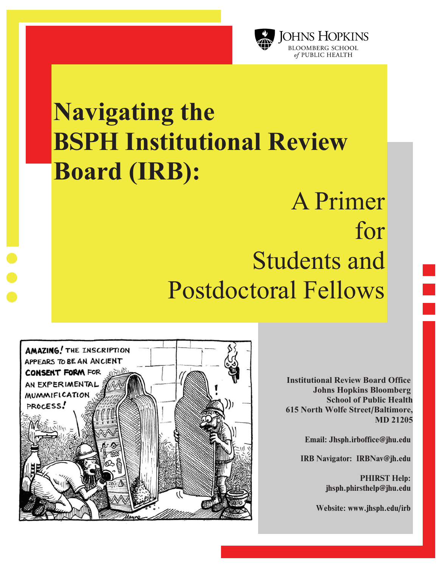

# **Navigating the**  BSPH **Institutional Review Board (IRB):**

# A Primer for Students and Postdoctoral Fellows



**Institutional Review Board Office Johns Hopkins Bloomberg School of Public Health 615 North Wolfe Street**/**Baltimore, MD 21205** 

Email: Jhsph.irboffice@jhu.edu

IRB Navigator: IRBNav@jh.edu

PHIRST Help: jhsph.phirsthelp@jhu.edu

Website: www.jhsph.edu/irb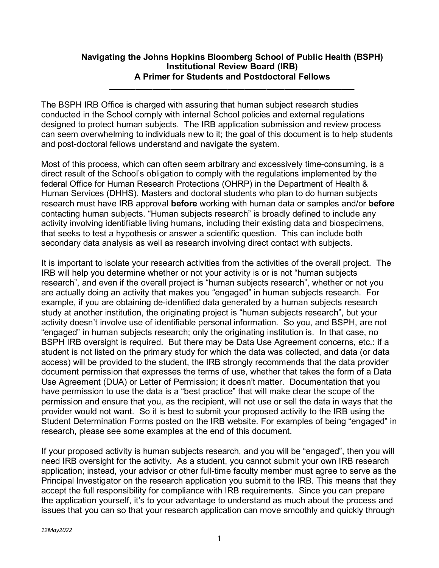## **Navigating the Johns Hopkins Bloomberg School of Public Health (BSPH) Institutional Review Board (IRB) A Primer for Students and Postdoctoral Fellows**

**\_\_\_\_\_\_\_\_\_\_\_\_\_\_\_\_\_\_\_\_\_\_\_\_\_\_\_\_\_\_\_\_\_\_\_\_\_\_\_\_\_\_\_\_\_\_\_\_\_\_\_\_\_\_\_\_**

The BSPH IRB Office is charged with assuring that human subject research studies conducted in the School comply with internal School policies and external regulations designed to protect human subjects. The IRB application submission and review process can seem overwhelming to individuals new to it; the goal of this document is to help students and post-doctoral fellows understand and navigate the system.

Most of this process, which can often seem arbitrary and excessively time-consuming, is a direct result of the School's obligation to comply with the regulations implemented by the federal Office for Human Research Protections (OHRP) in the Department of Health & Human Services (DHHS). Masters and doctoral students who plan to do human subjects research must have IRB approval **before** working with human data or samples and/or **before** contacting human subjects. "Human subjects research" is broadly defined to include any activity involving identifiable living humans, including their existing data and biospecimens, that seeks to test a hypothesis or answer a scientific question. This can include both secondary data analysis as well as research involving direct contact with subjects.

It is important to isolate your research activities from the activities of the overall project. The IRB will help you determine whether or not your activity is or is not "human subjects research", and even if the overall project is "human subjects research", whether or not you are actually doing an activity that makes you "engaged" in human subjects research. For example, if you are obtaining de-identified data generated by a human subjects research study at another institution, the originating project is "human subjects research", but your activity doesn't involve use of identifiable personal information. So you, and BSPH, are not "engaged" in human subjects research; only the originating institution is. In that case, no BSPH IRB oversight is required. But there may be Data Use Agreement concerns, etc.: if a student is not listed on the primary study for which the data was collected, and data (or data access) will be provided to the student, the IRB strongly recommends that the data provider document permission that expresses the terms of use, whether that takes the form of a Data Use Agreement (DUA) or Letter of Permission; it doesn't matter. Documentation that you have permission to use the data is a "best practice" that will make clear the scope of the permission and ensure that you, as the recipient, will not use or sell the data in ways that the provider would not want. So it is best to submit your proposed activity to the IRB using the Student Determination Forms posted on the IRB website. For examples of being "engaged" in research, please see some examples at the end of this document.

If your proposed activity is human subjects research, and you will be "engaged", then you will need IRB oversight for the activity. As a student, you cannot submit your own IRB research application; instead, your advisor or other full-time faculty member must agree to serve as the Principal Investigator on the research application you submit to the IRB. This means that they accept the full responsibility for compliance with IRB requirements. Since you can prepare the application yourself, it's to your advantage to understand as much about the process and issues that you can so that your research application can move smoothly and quickly through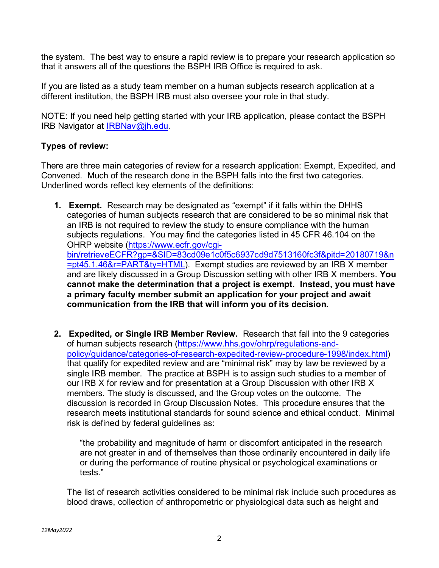the system. The best way to ensure a rapid review is to prepare your research application so that it answers all of the questions the BSPH IRB Office is required to ask.

If you are listed as a study team member on a human subjects research application at a different institution, the BSPH IRB must also oversee your role in that study.

NOTE: If you need help getting started with your IRB application, please contact the BSPH IRB Navigator at [IRBNav@jh.edu.](mailto:IRBNav@jh.edu)

## **Types of review:**

There are three main categories of review for a research application: Exempt, Expedited, and Convened. Much of the research done in the BSPH falls into the first two categories. Underlined words reflect key elements of the definitions:

- **1. Exempt.** Research may be designated as "exempt" if it falls within the DHHS categories of human subjects research that are considered to be so minimal risk that an IRB is not required to review the study to ensure compliance with the human subjects regulations. You may find the categories listed in 45 CFR 46.104 on the OHRP website [\(https://www.ecfr.gov/cgi](https://www.ecfr.gov/cgi-bin/retrieveECFR?gp=&SID=83cd09e1c0f5c6937cd9d7513160fc3f&pitd=20180719&n=pt45.1.46&r=PART&ty=HTML)[bin/retrieveECFR?gp=&SID=83cd09e1c0f5c6937cd9d7513160fc3f&pitd=20180719&n](https://www.ecfr.gov/cgi-bin/retrieveECFR?gp=&SID=83cd09e1c0f5c6937cd9d7513160fc3f&pitd=20180719&n=pt45.1.46&r=PART&ty=HTML) [=pt45.1.46&r=PART&ty=HTML\)](https://www.ecfr.gov/cgi-bin/retrieveECFR?gp=&SID=83cd09e1c0f5c6937cd9d7513160fc3f&pitd=20180719&n=pt45.1.46&r=PART&ty=HTML). Exempt studies are reviewed by an IRB X member and are likely discussed in a Group Discussion setting with other IRB X members. **You cannot make the determination that a project is exempt. Instead, you must have a primary faculty member submit an application for your project and await communication from the IRB that will inform you of its decision.**
- **2. Expedited, or Single IRB Member Review.** Research that fall into the 9 categories of human subjects research [\(https://www.hhs.gov/ohrp/regulations-and](https://www.hhs.gov/ohrp/regulations-and-policy/guidance/categories-of-research-expedited-review-procedure-1998/index.html)[policy/guidance/categories-of-research-expedited-review-procedure-1998/index.html\)](https://www.hhs.gov/ohrp/regulations-and-policy/guidance/categories-of-research-expedited-review-procedure-1998/index.html) that qualify for expedited review and are "minimal risk" may by law be reviewed by a single IRB member. The practice at BSPH is to assign such studies to a member of our IRB X for review and for presentation at a Group Discussion with other IRB X members. The study is discussed, and the Group votes on the outcome. The discussion is recorded in Group Discussion Notes. This procedure ensures that the research meets institutional standards for sound science and ethical conduct. Minimal risk is defined by federal guidelines as:

"the probability and magnitude of harm or discomfort anticipated in the research are not greater in and of themselves than those ordinarily encountered in daily life or during the performance of routine physical or psychological examinations or tests."

The list of research activities considered to be minimal risk include such procedures as blood draws, collection of anthropometric or physiological data such as height and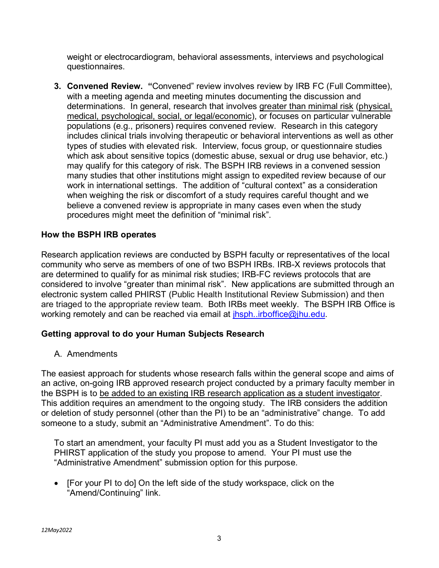weight or electrocardiogram, behavioral assessments, interviews and psychological questionnaires.

**3. Convened Review. "**Convened" review involves review by IRB FC (Full Committee), with a meeting agenda and meeting minutes documenting the discussion and determinations. In general, research that involves greater than minimal risk (physical, medical, psychological, social, or legal/economic), or focuses on particular vulnerable populations (e.g., prisoners) requires convened review. Research in this category includes clinical trials involving therapeutic or behavioral interventions as well as other types of studies with elevated risk. Interview, focus group, or questionnaire studies which ask about sensitive topics (domestic abuse, sexual or drug use behavior, etc.) may qualify for this category of risk. The BSPH IRB reviews in a convened session many studies that other institutions might assign to expedited review because of our work in international settings. The addition of "cultural context" as a consideration when weighing the risk or discomfort of a study requires careful thought and we believe a convened review is appropriate in many cases even when the study procedures might meet the definition of "minimal risk".

## **How the BSPH IRB operates**

Research application reviews are conducted by BSPH faculty or representatives of the local community who serve as members of one of two BSPH IRBs. IRB-X reviews protocols that are determined to qualify for as minimal risk studies; IRB-FC reviews protocols that are considered to involve "greater than minimal risk". New applications are submitted through an electronic system called PHIRST (Public Health Institutional Review Submission) and then are triaged to the appropriate review team. Both IRBs meet weekly. The BSPH IRB Office is working remotely and can be reached via email at *ihsph..irboffice@jhu.edu.* 

### **Getting approval to do your Human Subjects Research**

A. Amendments

The easiest approach for students whose research falls within the general scope and aims of an active, on-going IRB approved research project conducted by a primary faculty member in the BSPH is to be added to an existing IRB research application as a student investigator. This addition requires an amendment to the ongoing study. The IRB considers the addition or deletion of study personnel (other than the PI) to be an "administrative" change. To add someone to a study, submit an "Administrative Amendment". To do this:

To start an amendment, your faculty PI must add you as a Student Investigator to the PHIRST application of the study you propose to amend. Your PI must use the "Administrative Amendment" submission option for this purpose.

• [For your PI to do] On the left side of the study workspace, click on the "Amend/Continuing" link.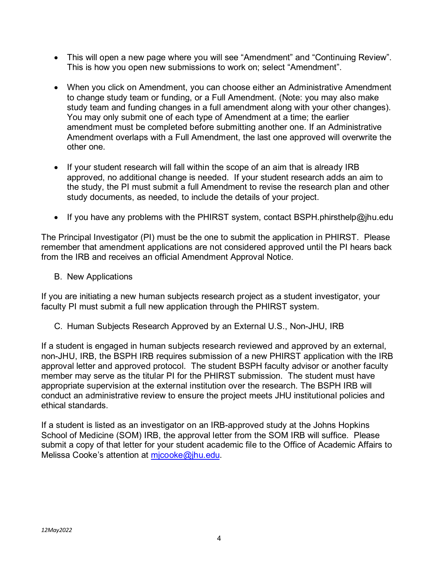- This will open a new page where you will see "Amendment" and "Continuing Review". This is how you open new submissions to work on; select "Amendment".
- When you click on Amendment, you can choose either an Administrative Amendment to change study team or funding, or a Full Amendment. (Note: you may also make study team and funding changes in a full amendment along with your other changes). You may only submit one of each type of Amendment at a time; the earlier amendment must be completed before submitting another one. If an Administrative Amendment overlaps with a Full Amendment, the last one approved will overwrite the other one.
- If your student research will fall within the scope of an aim that is already IRB approved, no additional change is needed. If your student research adds an aim to the study, the PI must submit a full Amendment to revise the research plan and other study documents, as needed, to include the details of your project.
- If you have any problems with the PHIRST system, contact BSPH.phirsthelp@jhu.edu

The Principal Investigator (PI) must be the one to submit the application in PHIRST. Please remember that amendment applications are not considered approved until the PI hears back from the IRB and receives an official Amendment Approval Notice.

B. New Applications

If you are initiating a new human subjects research project as a student investigator, your faculty PI must submit a full new application through the PHIRST system.

C. Human Subjects Research Approved by an External U.S., Non-JHU, IRB

If a student is engaged in human subjects research reviewed and approved by an external, non-JHU, IRB, the BSPH IRB requires submission of a new PHIRST application with the IRB approval letter and approved protocol. The student BSPH faculty advisor or another faculty member may serve as the titular PI for the PHIRST submission. The student must have appropriate supervision at the external institution over the research. The BSPH IRB will conduct an administrative review to ensure the project meets JHU institutional policies and ethical standards.

If a student is listed as an investigator on an IRB-approved study at the Johns Hopkins School of Medicine (SOM) IRB, the approval letter from the SOM IRB will suffice. Please submit a copy of that letter for your student academic file to the Office of Academic Affairs to Melissa Cooke's attention at micooke@jhu.edu.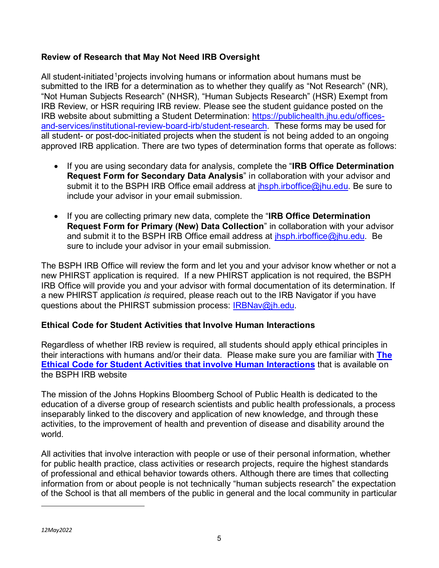# **Review of Research that May Not Need IRB Oversight**

All student-initiated<sup>[1](#page-5-0)</sup> projects involving humans or information about humans must be submitted to the IRB for a determination as to whether they qualify as "Not Research" (NR), "Not Human Subjects Research" (NHSR), "Human Subjects Research" (HSR) Exempt from IRB Review, or HSR requiring IRB review. Please see the student guidance posted on the IRB website about submitting a Student Determination: [https://publichealth.jhu.edu/offices](https://publichealth.jhu.edu/offices-and-services/institutional-review-board-irb/student-research)[and-services/institutional-review-board-irb/student-research.](https://publichealth.jhu.edu/offices-and-services/institutional-review-board-irb/student-research) These forms may be used for all student- or post-doc-initiated projects when the student is not being added to an ongoing approved IRB application. There are two types of determination forms that operate as follows:

- If you are using secondary data for analysis, complete the "**IRB Office Determination Request Form for Secondary Data Analysis**" in collaboration with your advisor and submit it to the BSPH IRB Office email address at *ihsph.irboffice@jhu.edu.* Be sure to include your advisor in your email submission.
- If you are collecting primary new data, complete the "**IRB Office Determination Request Form for Primary (New) Data Collection**" in collaboration with your advisor and submit it to the BSPH IRB Office email address at [jhsph.irboffice@jhu.edu.](mailto:jhsph.irboffice@jhu.edu) Be sure to include your advisor in your email submission.

The BSPH IRB Office will review the form and let you and your advisor know whether or not a new PHIRST application is required. If a new PHIRST application is not required, the BSPH IRB Office will provide you and your advisor with formal documentation of its determination. If a new PHIRST application *is* required, please reach out to the IRB Navigator if you have questions about the PHIRST submission process: [IRBNav@jh.edu.](mailto:IRBNav@jh.edu)

# **Ethical Code for Student Activities that Involve Human Interactions**

Regardless of whether IRB review is required, all students should apply ethical principles in their interactions with humans and/or their data. Please make sure you are familiar with **The Ethical Code for Student Activities that involve Human Interactions** that is available on the BSPH IRB website

The mission of the Johns Hopkins Bloomberg School of Public Health is dedicated to the education of a diverse group of research scientists and public health professionals, a process inseparably linked to the discovery and application of new knowledge, and through these activities, to the improvement of health and prevention of disease and disability around the world.

<span id="page-5-0"></span>All activities that involve interaction with people or use of their personal information, whether for public health practice, class activities or research projects, require the highest standards of professional and ethical behavior towards others. Although there are times that collecting information from or about people is not technically "human subjects research" the expectation of the School is that all members of the public in general and the local community in particular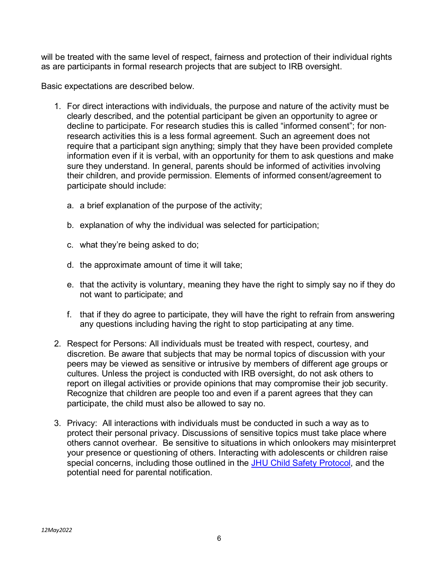will be treated with the same level of respect, fairness and protection of their individual rights as are participants in formal research projects that are subject to IRB oversight.

Basic expectations are described below.

- 1. For direct interactions with individuals, the purpose and nature of the activity must be clearly described, and the potential participant be given an opportunity to agree or decline to participate. For research studies this is called "informed consent"; for non‐ research activities this is a less formal agreement. Such an agreement does not require that a participant sign anything; simply that they have been provided complete information even if it is verbal, with an opportunity for them to ask questions and make sure they understand. In general, parents should be informed of activities involving their children, and provide permission. Elements of informed consent/agreement to participate should include:
	- a. a brief explanation of the purpose of the activity;
	- b. explanation of why the individual was selected for participation;
	- c. what they're being asked to do;
	- d. the approximate amount of time it will take;
	- e. that the activity is voluntary, meaning they have the right to simply say no if they do not want to participate; and
	- f. that if they do agree to participate, they will have the right to refrain from answering any questions including having the right to stop participating at any time.
- 2. Respect for Persons: All individuals must be treated with respect, courtesy, and discretion. Be aware that subjects that may be normal topics of discussion with your peers may be viewed as sensitive or intrusive by members of different age groups or cultures. Unless the project is conducted with IRB oversight, do not ask others to report on illegal activities or provide opinions that may compromise their job security. Recognize that children are people too and even if a parent agrees that they can participate, the child must also be allowed to say no.
- 3. Privacy: All interactions with individuals must be conducted in such a way as to protect their personal privacy. Discussions of sensitive topics must take place where others cannot overhear. Be sensitive to situations in which onlookers may misinterpret your presence or questioning of others. Interacting with adolescents or children raise special concerns, including those outlined in the [JHU Child Safety Protocol,](https://www.hopkinsmedicine.org/som/pathway/Child%20Safety/Safety%20of%20Children%20in%20University%20Programs_09.12.17.pdf) and the potential need for parental notification.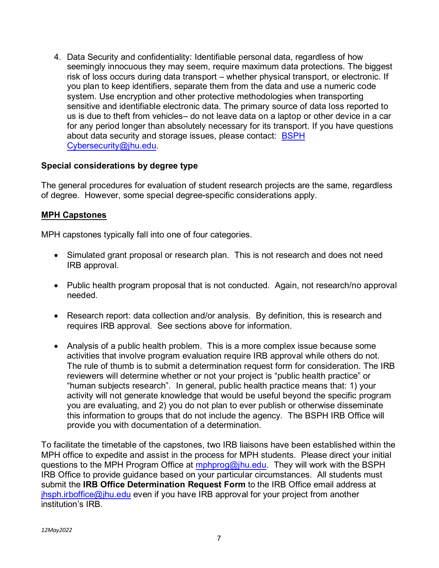4. Data Security and confidentiality: Identifiable personal data, regardless of how seemingly innocuous they may seem, require maximum data protections. The biggest risk of loss occurs during data transport – whether physical transport, or electronic. If you plan to keep identifiers, separate them from the data and use a numeric code system. Use encryption and other protective methodologies when transporting sensitive and identifiable electronic data. The primary source of data loss reported to us is due to theft from vehicles– do not leave data on a laptop or other device in a car for any period longer than absolutely necessary for its transport. If you have questions about data security and storage issues, please contact: [BSPH](mailto:BSPH%20Cybersecurity@jhu.edu)  [Cybersecurity@jhu.edu.](mailto:BSPH%20Cybersecurity@jhu.edu)

### **Special considerations by degree type**

The general procedures for evaluation of student research projects are the same, regardless of degree. However, some special degree-specific considerations apply.

#### **MPH Capstones**

MPH capstones typically fall into one of four categories.

- Simulated grant proposal or research plan. This is not research and does not need IRB approval.
- Public health program proposal that is not conducted. Again, not research/no approval needed.
- Research report: data collection and/or analysis. By definition, this is research and requires IRB approval. See sections above for information.
- Analysis of a public health problem. This is a more complex issue because some activities that involve program evaluation require IRB approval while others do not. The rule of thumb is to submit a determination request form for consideration. The IRB reviewers will determine whether or not your project is "public health practice" or "human subjects research". In general, public health practice means that: 1) your activity will not generate knowledge that would be useful beyond the specific program you are evaluating, and 2) you do not plan to ever publish or otherwise disseminate this information to groups that do not include the agency. The BSPH IRB Office will provide you with documentation of a determination.

To facilitate the timetable of the capstones, two IRB liaisons have been established within the MPH office to expedite and assist in the process for MPH students. Please direct your initial questions to the MPH Program Office at [mphprog@jhu.edu.](mailto:mphprog@jhu.edu) They will work with the BSPH IRB Office to provide guidance based on your particular circumstances. All students must submit the **IRB Office Determination Request Form** to the IRB Office email address at [jhsph.irboffice@jhu.edu](mailto:jhsph.irboffice@jhu.edu) even if you have IRB approval for your project from another institution's IRB.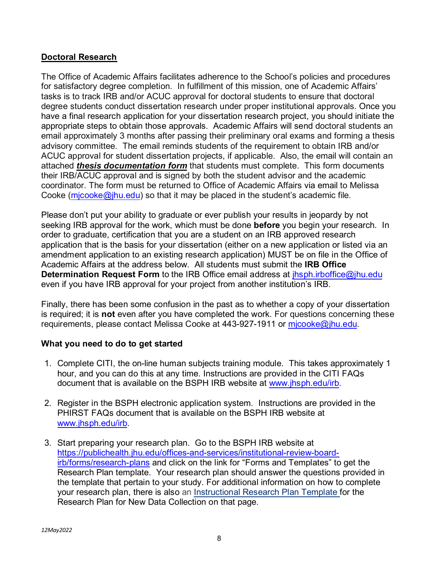# **Doctoral Research**

The Office of Academic Affairs facilitates adherence to the School's policies and procedures for satisfactory degree completion. In fulfillment of this mission, one of Academic Affairs' tasks is to track IRB and/or ACUC approval for doctoral students to ensure that doctoral degree students conduct dissertation research under proper institutional approvals. Once you have a final research application for your dissertation research project, you should initiate the appropriate steps to obtain those approvals. Academic Affairs will send doctoral students an email approximately 3 months after passing their preliminary oral exams and forming a thesis advisory committee. The email reminds students of the requirement to obtain IRB and/or ACUC approval for student dissertation projects, if applicable. Also, the email will contain an attached *thesis documentation form* that students must complete. This form documents their IRB/ACUC approval and is signed by both the student advisor and the academic coordinator. The form must be returned to Office of Academic Affairs via email to Melissa Cooke (mjcooke $\omega$ jhu.edu) so that it may be placed in the student's academic file.

Please don't put your ability to graduate or ever publish your results in jeopardy by not seeking IRB approval for the work, which must be done **before** you begin your research. In order to graduate, certification that you are a student on an IRB approved research application that is the basis for your dissertation (either on a new application or listed via an amendment application to an existing research application) MUST be on file in the Office of Academic Affairs at the address below. All students must submit the **IRB Office Determination Request Form** to the IRB Office email address at *ihsph.irboffice@jhu.edu* even if you have IRB approval for your project from another institution's IRB.

Finally, there has been some confusion in the past as to whether a copy of your dissertation is required; it is **not** even after you have completed the work. For questions concerning these requirements, please contact Melissa Cooke at 443-927-1911 or micooke@jhu.edu.

### **What you need to do to get started**

- 1. Complete CITI, the on-line human subjects training module. This takes approximately 1 hour, and you can do this at any time. Instructions are provided in the CITI FAQs document that is available on the BSPH IRB website at [www.jhsph.edu/irb.](http://www.jhsph.edu/irb)
- 2. Register in the BSPH electronic application system. Instructions are provided in the PHIRST FAQs document that is available on the BSPH IRB website at [www.jhsph.edu/irb.](http://www.jhsph.edu/irb)
- 3. Start preparing your research plan. Go to the BSPH IRB website at [https://publichealth.jhu.edu/offices-and-services/institutional-review-board](https://publichealth.jhu.edu/offices-and-services/institutional-review-board-irb/forms/research-plans)[irb/forms/research-plans](https://publichealth.jhu.edu/offices-and-services/institutional-review-board-irb/forms/research-plans) and click on the link for "Forms and Templates" to get the Research Plan template. Your research plan should answer the questions provided in the template that pertain to your study. For additional information on how to complete your research plan, there is also an [Instructional Research](https://publichealth.jhu.edu/sites/default/files/2021-12/instructional-templateresearch-plan-for-new-data-collection-7oct2021clean.docx) Plan Template [f](https://publichealth.jhu.edu/sites/default/files/2021-12/instructional-templateresearch-plan-for-new-data-collection-7oct2021clean.docx)or the Research Plan for New Data Collection on that page.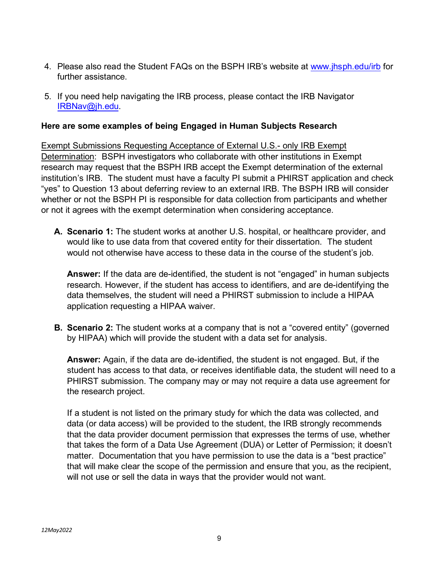- 4. Please also read the Student FAQs on the BSPH IRB's website at [www.jhsph.edu/irb](http://www.jhsph.edu/irb) for further assistance.
- 5. If you need help navigating the IRB process, please contact the IRB Navigator [IRBNav@jh.edu.](mailto:IRBNav@jh.edu)

## **Here are some examples of being Engaged in Human Subjects Research**

Exempt Submissions Requesting Acceptance of External U.S.- only IRB Exempt Determination: BSPH investigators who collaborate with other institutions in Exempt research may request that the BSPH IRB accept the Exempt determination of the external institution's IRB. The student must have a faculty PI submit a PHIRST application and check "yes" to Question 13 about deferring review to an external IRB. The BSPH IRB will consider whether or not the BSPH PI is responsible for data collection from participants and whether or not it agrees with the exempt determination when considering acceptance.

**A. Scenario 1:** The student works at another U.S. hospital, or healthcare provider, and would like to use data from that covered entity for their dissertation. The student would not otherwise have access to these data in the course of the student's job.

**Answer:** If the data are de-identified, the student is not "engaged" in human subjects research. However, if the student has access to identifiers, and are de-identifying the data themselves, the student will need a PHIRST submission to include a HIPAA application requesting a HIPAA waiver.

**B. Scenario 2:** The student works at a company that is not a "covered entity" (governed by HIPAA) which will provide the student with a data set for analysis.

**Answer:** Again, if the data are de-identified, the student is not engaged. But, if the student has access to that data, or receives identifiable data, the student will need to a PHIRST submission. The company may or may not require a data use agreement for the research project.

If a student is not listed on the primary study for which the data was collected, and data (or data access) will be provided to the student, the IRB strongly recommends that the data provider document permission that expresses the terms of use, whether that takes the form of a Data Use Agreement (DUA) or Letter of Permission; it doesn't matter. Documentation that you have permission to use the data is a "best practice" that will make clear the scope of the permission and ensure that you, as the recipient, will not use or sell the data in ways that the provider would not want.